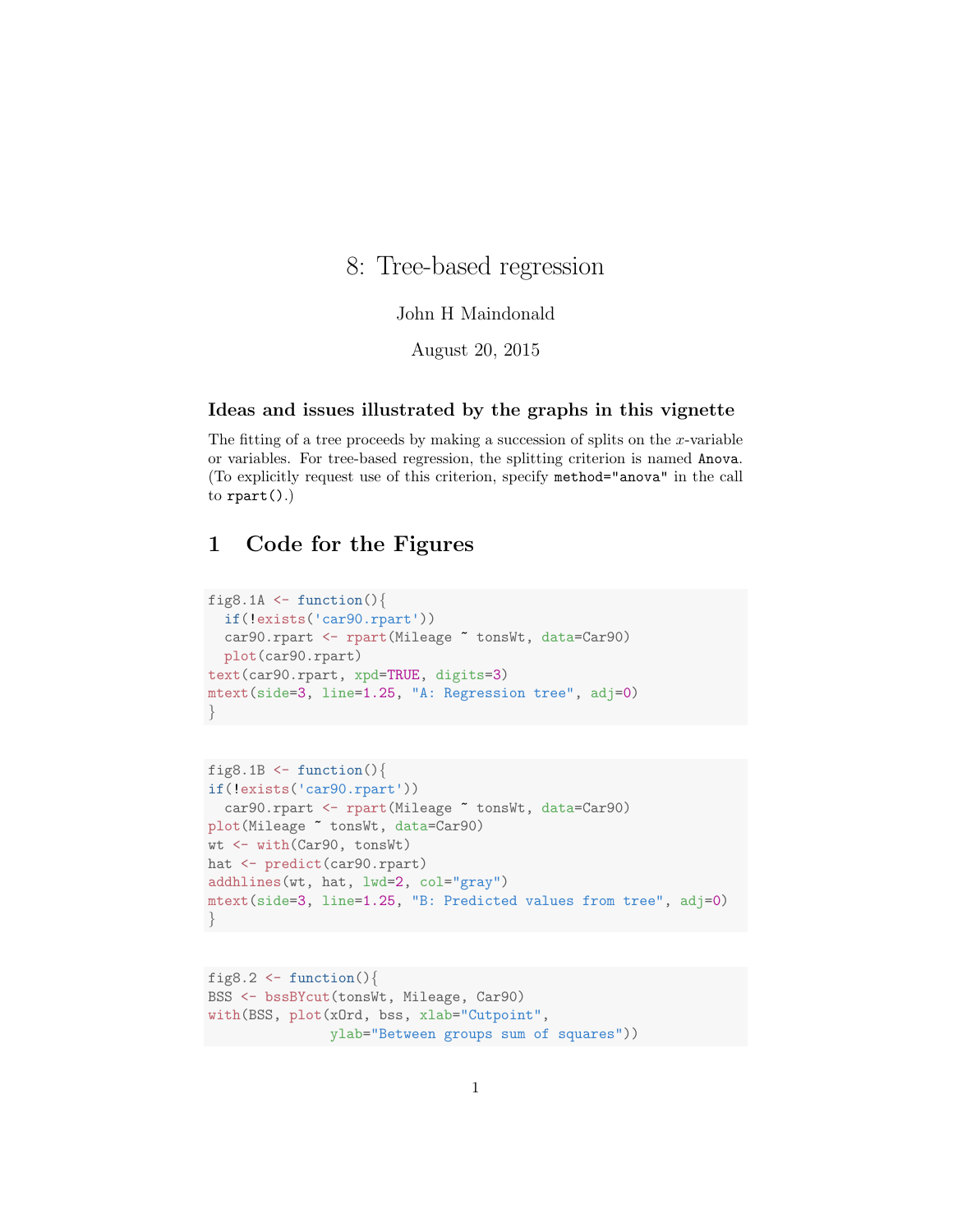# 8: Tree-based regression

### John H Maindonald

August 20, 2015

#### Ideas and issues illustrated by the graphs in this vignette

The fitting of a tree proceeds by making a succession of splits on the x-variable or variables. For tree-based regression, the splitting criterion is named Anova. (To explicitly request use of this criterion, specify method="anova" in the call to  $\text{rpart}()$ .)

## 1 Code for the Figures

```
fig8.1A \le function(){
 if(!exists('car90.rpart'))
 car90.rpart <- rpart(Mileage ~ tonsWt, data=Car90)
 plot(car90.rpart)
text(car90.rpart, xpd=TRUE, digits=3)
mtext(side=3, line=1.25, "A: Regression tree", adj=0)
}
```

```
fig8.1B \leftarrow function(){
if(!exists('car90.rpart'))
  car90.rpart <- rpart(Mileage ~ tonsWt, data=Car90)
plot(Mileage ~ tonsWt, data=Car90)
wt <- with(Car90, tonsWt)
hat <- predict(car90.rpart)
addhlines(wt, hat, lwd=2, col="gray")
mtext(side=3, line=1.25, "B: Predicted values from tree", adj=0)
}
```

```
fig8.2 \leftarrow function(){
BSS <- bssBYcut(tonsWt, Mileage, Car90)
with(BSS, plot(xOrd, bss, xlab="Cutpoint",
               ylab="Between groups sum of squares"))
```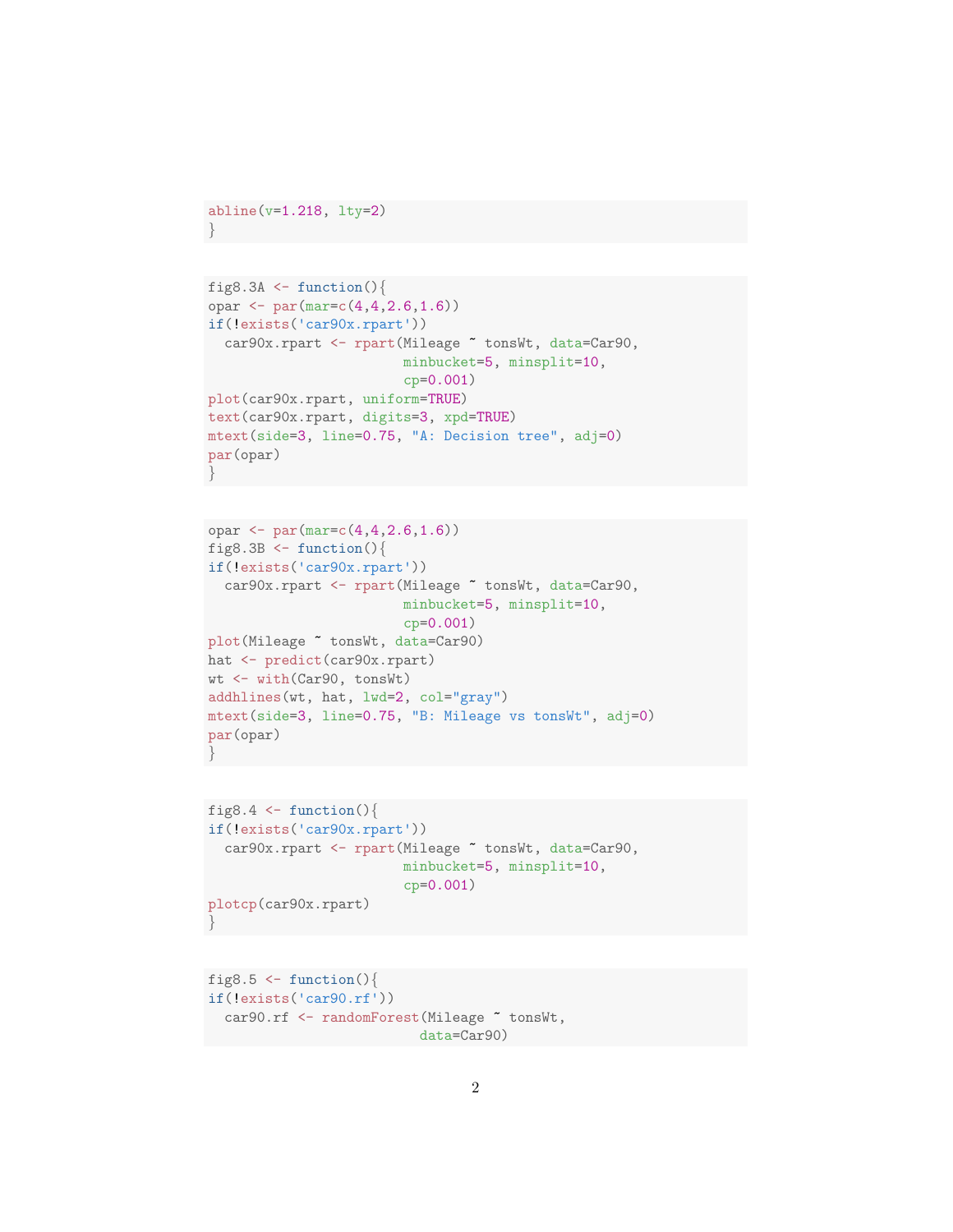```
abline(v=1.218, lty=2)
}
```

```
fig8.3A \leftarrow function(){
opar <- par(mar=c(4,4,2.6,1.6))
if(!exists('car90x.rpart'))
  car90x.rpart <- rpart(Mileage ~ tonsWt, data=Car90,
                         minbucket=5, minsplit=10,
                         cp=0.001)
plot(car90x.rpart, uniform=TRUE)
text(car90x.rpart, digits=3, xpd=TRUE)
mtext(side=3, line=0.75, "A: Decision tree", adj=0)
par(opar)
}
```

```
opar \leq par(mar=c(4,4,2.6,1.6))
fig8.3B \leftarrow function(){
if(!exists('car90x.rpart'))
  car90x.rpart <- rpart(Mileage ~ tonsWt, data=Car90,
                         minbucket=5, minsplit=10,
                         cp=0.001)
plot(Mileage ~ tonsWt, data=Car90)
hat <- predict(car90x.rpart)
wt <- with(Car90, tonsWt)
addhlines(wt, hat, lwd=2, col="gray")
mtext(side=3, line=0.75, "B: Mileage vs tonsWt", adj=0)
par(opar)
}
```

```
fig8.4 \leftarrow function(){
if(!exists('car90x.rpart'))
  car90x.rpart <- rpart(Mileage ~ tonsWt, data=Car90,
                          minbucket=5, minsplit=10,
                          cp=0.001)
plotcp(car90x.rpart)
}
```

```
fig8.5 \le function(){
if(!exists('car90.rf'))
 car90.rf <- randomForest(Mileage "tonsWt,
                        data=Car90)
```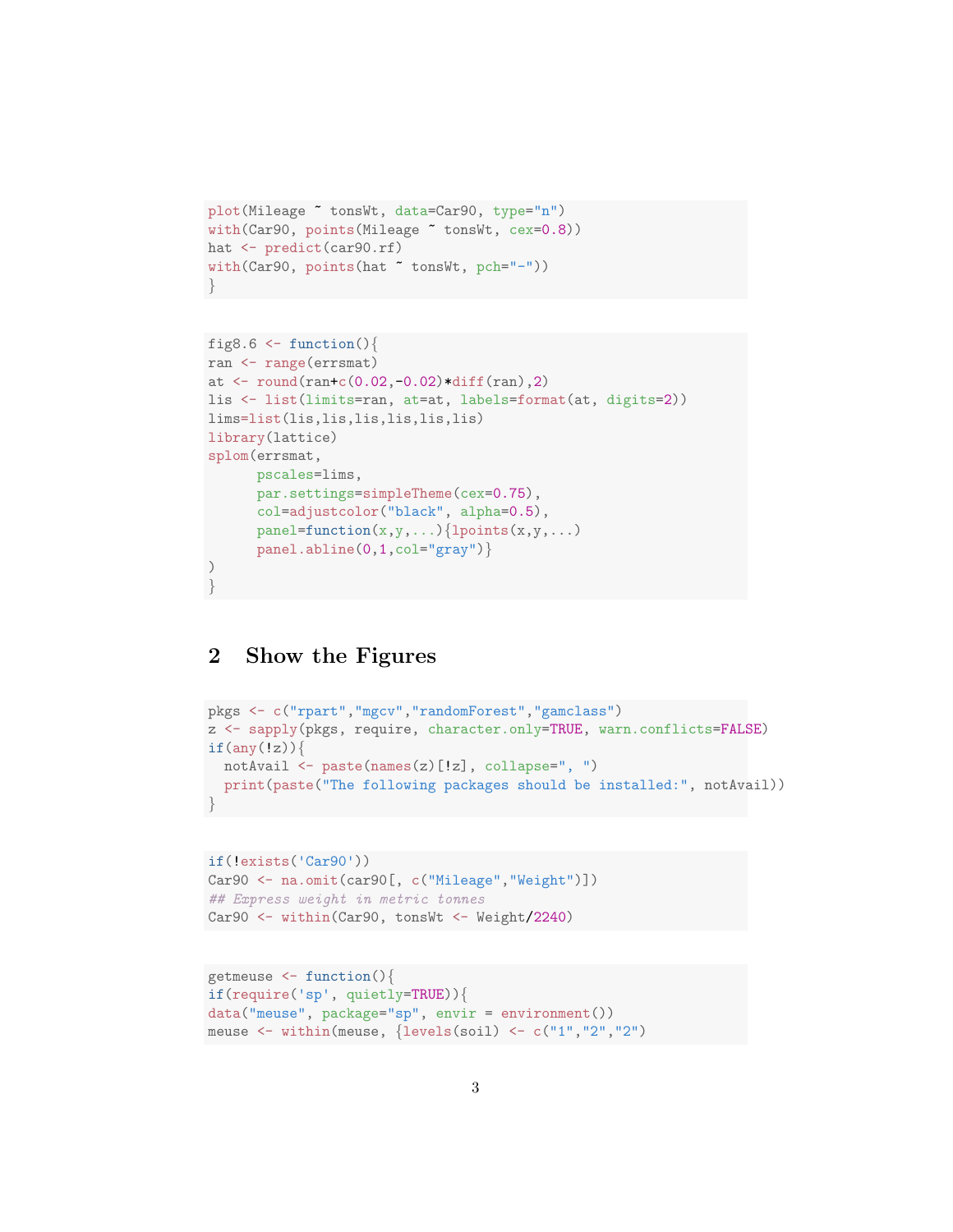```
plot(Mileage ~ tonsWt, data=Car90, type="n")
with(Car90, points(Mileage ~ tonsWt, cex=0.8))
hat <- predict(car90.rf)
with(Car90, points(hat ~ tonsWt, pch="-"))
}
```

```
fig8.6 \leftarrow function(){
ran <- range(errsmat)
at \le round(ran+c(0.02,-0.02)*diff(ran),2)
lis <- list(limits=ran, at=at, labels=format(at, digits=2))
lims=list(lis,lis,lis,lis,lis,lis)
library(lattice)
splom(errsmat,
      pscales=lims,
      par.settings=simpleTheme(cex=0.75),
      col=adjustcolor("black", alpha=0.5),
      panel = function(x, y, ...){lpoints(x,y,...)
      panel.abline(0,1,col="gray")}
)
}
```
### 2 Show the Figures

```
pkgs <- c("rpart","mgcv","randomForest","gamclass")
z <- sapply(pkgs, require, character.only=TRUE, warn.conflicts=FALSE)
if(any(!z))notAvail <- paste(names(z)[!z], collapse=", ")
  print(paste("The following packages should be installed:", notAvail))
}
```

```
if(!exists('Car90'))
Car90 <- na.omit(car90[, c("Mileage","Weight")])
## Express weight in metric tonnes
Car90 <- within(Car90, tonsWt <- Weight/2240)
```

```
getmeuse <- function(){
if(require('sp', quietly=TRUE)){
data("meuse", package="sp", envir = environment())
meuse <- within(meuse, {levels(soil) <- c("1","2","2")
```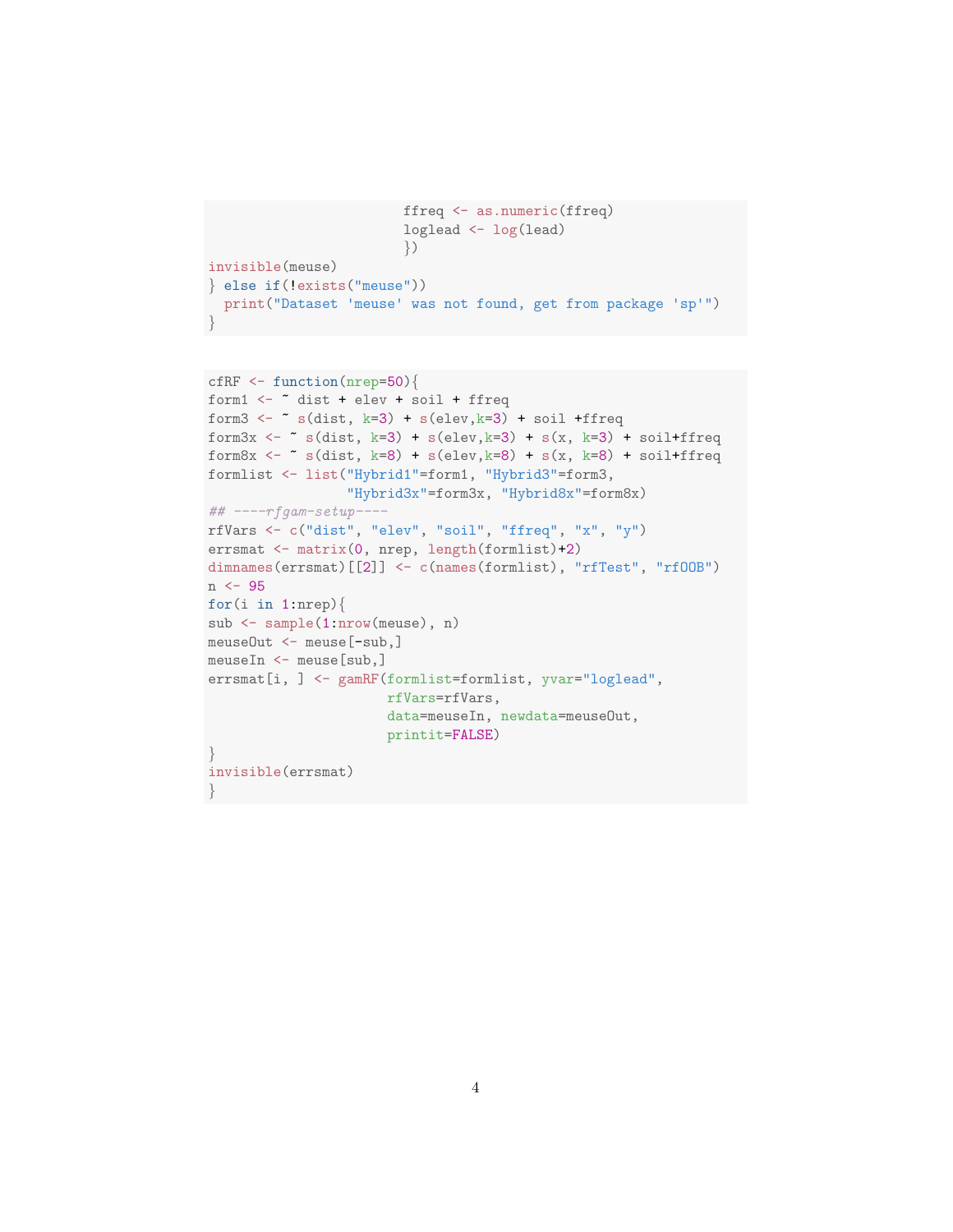```
ffreq <- as.numeric(ffreq)
                        loglead <- log(lead)
                        })
invisible(meuse)
} else if(!exists("meuse"))
 print("Dataset 'meuse' was not found, get from package 'sp'")
}
```

```
cfRF \le function(nrep=50){
form1 \leftarrow \tilde{ } dist + elev + soil + ffreq
form3 <- \tilde{ } s(dist, k=3) + s(elev, k=3) + soil +ffreq
form3x <- \tilde{ } s(dist, k=3) + s(elev,k=3) + s(x, k=3) + soil+ffreq
form8x \leftarrow \sim s(dist, k=8) + s(elev, k=8) + s(x, k=8) + soil+ffreq
formlist <- list("Hybrid1"=form1, "Hybrid3"=form3,
                  "Hybrid3x"=form3x, "Hybrid8x"=form8x)
## ----rfgam-setup----
rfVars <- c("dist", "elev", "soil", "ffreq", "x", "y")
errsmat <- matrix(0, nrep, length(formlist)+2)
dimnames(errsmat)[[2]] <- c(names(formlist), "rfTest", "rfOOB")
n <- 95
for(i in 1:nrep){
sub <- sample(1:nrow(meuse), n)
meuseOut <- meuse[-sub,]
meuseIn <- meuse[sub,]
errsmat[i, ] <- gamRF(formlist=formlist, yvar="loglead",
                       rfVars=rfVars,
                       data=meuseIn, newdata=meuseOut,
                       printit=FALSE)
}
invisible(errsmat)
}
```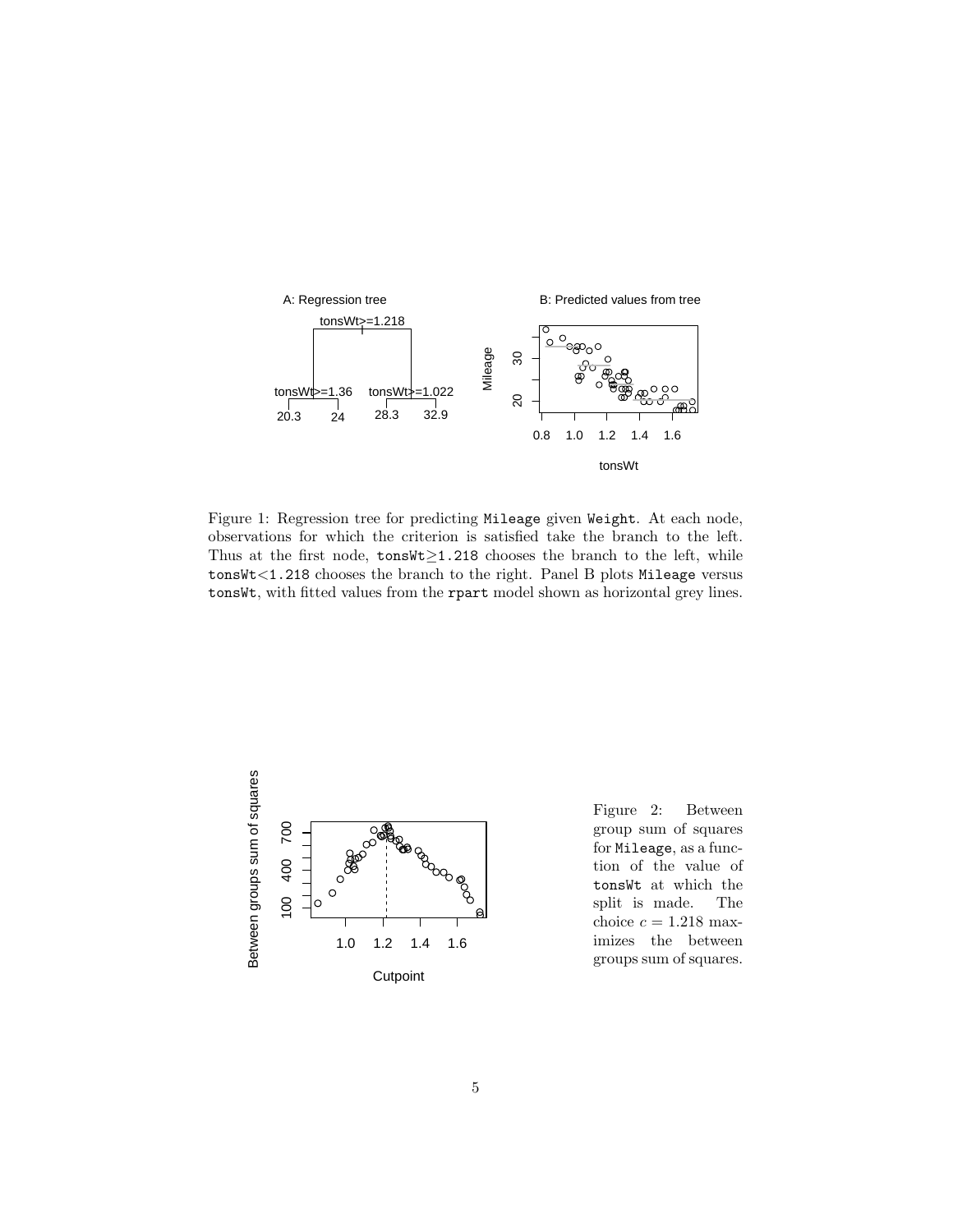

Figure 1: Regression tree for predicting Mileage given Weight. At each node, observations for which the criterion is satisfied take the branch to the left. Thus at the first node, tonsWt≥1.218 chooses the branch to the left, while tonsWt<1.218 chooses the branch to the right. Panel B plots Mileage versus tonsWt, with fitted values from the rpart model shown as horizontal grey lines.



Figure 2: Between group sum of squares for Mileage, as a function of the value of tonsWt at which the split is made. The choice  $c = 1.218$  maximizes the between groups sum of squares.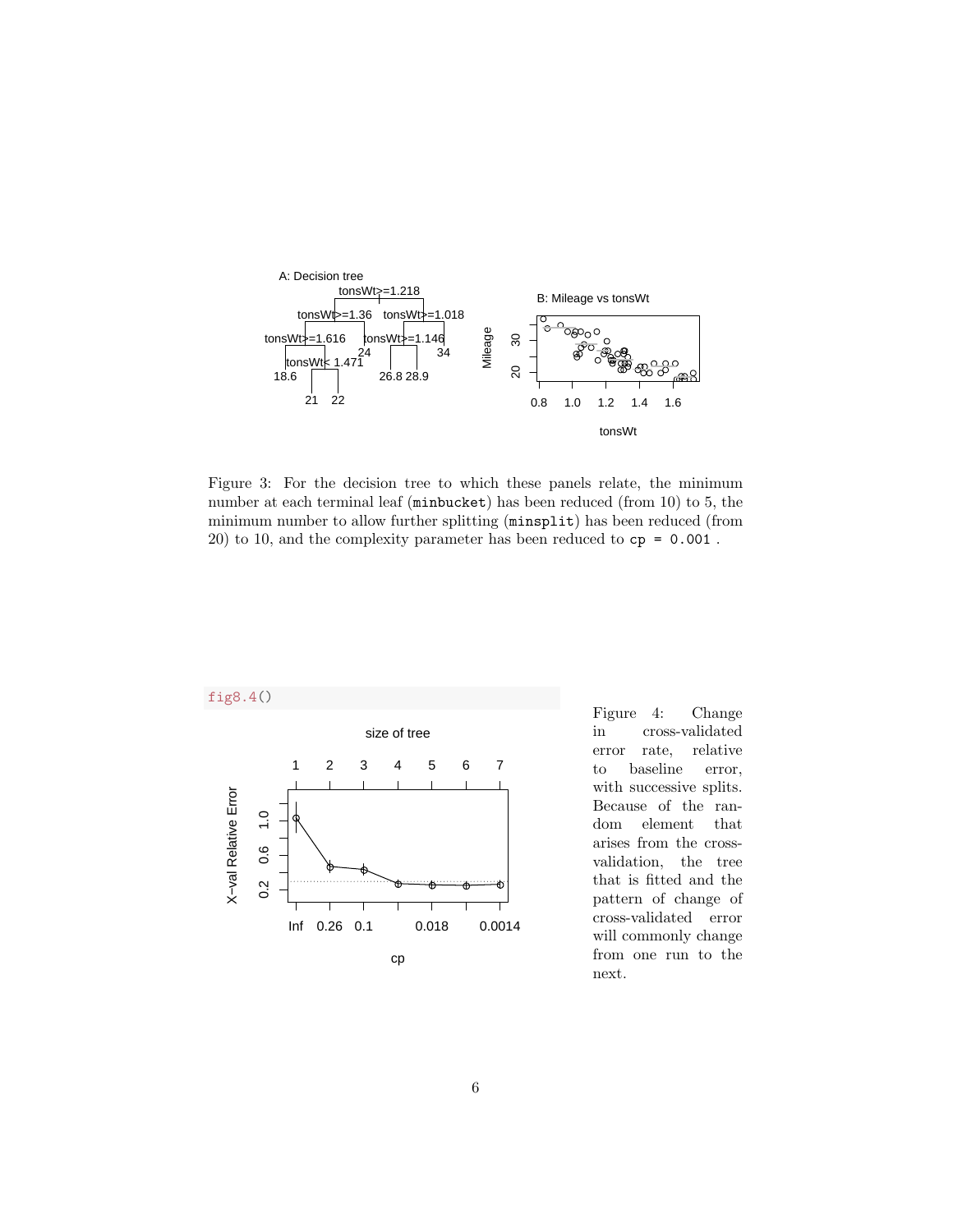

Figure 3: For the decision tree to which these panels relate, the minimum number at each terminal leaf (minbucket) has been reduced (from 10) to 5, the minimum number to allow further splitting (minsplit) has been reduced (from 20) to 10, and the complexity parameter has been reduced to cp = 0.001 .



Figure 4: Change in cross-validated error rate, relative to baseline error, with successive splits. Because of the random element that arises from the crossvalidation, the tree that is fitted and the pattern of change of cross-validated error will commonly change from one run to the next.